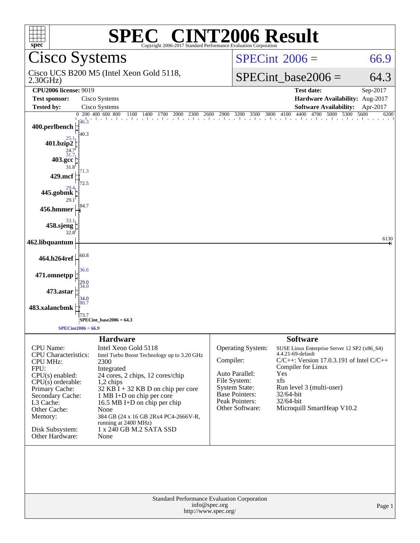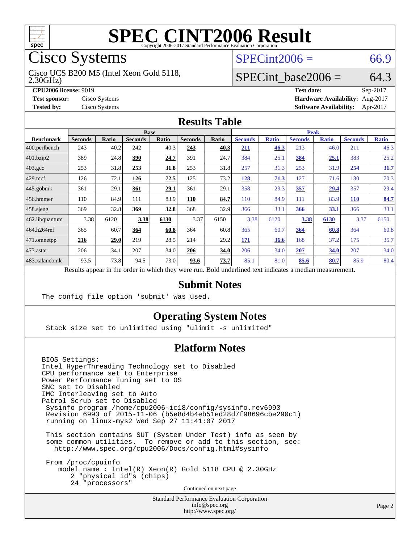

Cisco Systems

2.30GHz) Cisco UCS B200 M5 (Intel Xeon Gold 5118,

**[Tested by:](http://www.spec.org/auto/cpu2006/Docs/result-fields.html#Testedby)** Cisco Systems **[Software Availability:](http://www.spec.org/auto/cpu2006/Docs/result-fields.html#SoftwareAvailability)** Apr-2017

 $SPECint2006 = 66.9$  $SPECint2006 = 66.9$ 

### SPECint base2006 =  $64.3$

**[CPU2006 license:](http://www.spec.org/auto/cpu2006/Docs/result-fields.html#CPU2006license)** 9019 **[Test date:](http://www.spec.org/auto/cpu2006/Docs/result-fields.html#Testdate)** Sep-2017 **[Test sponsor:](http://www.spec.org/auto/cpu2006/Docs/result-fields.html#Testsponsor)** Cisco Systems **[Hardware Availability:](http://www.spec.org/auto/cpu2006/Docs/result-fields.html#HardwareAvailability)** Aug-2017

### **[Results Table](http://www.spec.org/auto/cpu2006/Docs/result-fields.html#ResultsTable)**

|                    | <b>Base</b>    |              |                |       |                |       | Peak           |              |                |              |                |              |
|--------------------|----------------|--------------|----------------|-------|----------------|-------|----------------|--------------|----------------|--------------|----------------|--------------|
| <b>Benchmark</b>   | <b>Seconds</b> | <b>Ratio</b> | <b>Seconds</b> | Ratio | <b>Seconds</b> | Ratio | <b>Seconds</b> | <b>Ratio</b> | <b>Seconds</b> | <b>Ratio</b> | <b>Seconds</b> | <b>Ratio</b> |
| 400.perlbench      | 243            | 40.2         | 242            | 40.3  | 243            | 40.3  | 211            | 46.3         | 213            | 46.0         | 211            | 46.3         |
| 401.bzip2          | 389            | 24.8         | 390            | 24.7  | 391            | 24.7  | 384            | 25.1         | 384            | 25.1         | 383            | 25.2         |
| $403.\mathrm{gcc}$ | 253            | 31.8         | 253            | 31.8  | 253            | 31.8  | 257            | 31.3         | 253            | 31.9         | 254            | 31.7         |
| $429$ .mcf         | 126            | 72.1         | 126            | 72.5  | 125            | 73.2  | 128            | 71.3         | 127            | 71.6         | 130            | 70.3         |
| $445$ .gobmk       | 361            | 29.1         | 361            | 29.1  | 361            | 29.1  | 358            | 29.3         | 357            | 29.4         | 357            | 29.4         |
| $456.$ hmmer       | 110            | 84.9         | 111            | 83.9  | 110            | 84.7  | 110            | 84.9         | 111            | 83.9         | <b>110</b>     | 84.7         |
| 458.sjeng          | 369            | 32.8         | 369            | 32.8  | 368            | 32.9  | 366            | 33.1         | 366            | 33.1         | 366            | 33.1         |
| 462.libquantum     | 3.38           | 6120         | 3.38           | 6130  | 3.37           | 6150  | 3.38           | 6120         | 3.38           | 6130         | 3.37           | 6150         |
| 464.h264ref        | 365            | 60.7         | 364            | 60.8  | 364            | 60.8  | 365            | 60.7         | 364            | 60.8         | 364            | 60.8         |
| 471.omnetpp        | 216            | 29.0         | 219            | 28.5  | 214            | 29.2  | 171            | 36.6         | 168            | 37.2         | 175            | 35.7         |
| 473.astar          | 206            | 34.1         | 207            | 34.0  | 206            | 34.0  | 206            | 34.0         | 207            | 34.0         | 207            | 34.0         |
| 483.xalancbmk      | 93.5           | 73.8         | 94.5           | 73.0  | 93.6           | 73.7  | 85.1           | 81.0         | 85.6           | 80.7         | 85.9           | 80.4         |

Results appear in the [order in which they were run.](http://www.spec.org/auto/cpu2006/Docs/result-fields.html#RunOrder) Bold underlined text [indicates a median measurement.](http://www.spec.org/auto/cpu2006/Docs/result-fields.html#Median)

### **[Submit Notes](http://www.spec.org/auto/cpu2006/Docs/result-fields.html#SubmitNotes)**

The config file option 'submit' was used.

### **[Operating System Notes](http://www.spec.org/auto/cpu2006/Docs/result-fields.html#OperatingSystemNotes)**

Stack size set to unlimited using "ulimit -s unlimited"

### **[Platform Notes](http://www.spec.org/auto/cpu2006/Docs/result-fields.html#PlatformNotes)**

BIOS Settings: Intel HyperThreading Technology set to Disabled CPU performance set to Enterprise Power Performance Tuning set to OS SNC set to Disabled IMC Interleaving set to Auto Patrol Scrub set to Disabled Sysinfo program /home/cpu2006-ic18/config/sysinfo.rev6993 Revision 6993 of 2015-11-06 (b5e8d4b4eb51ed28d7f98696cbe290c1) running on linux-mys2 Wed Sep 27 11:41:07 2017

 This section contains SUT (System Under Test) info as seen by some common utilities. To remove or add to this section, see: <http://www.spec.org/cpu2006/Docs/config.html#sysinfo>

 From /proc/cpuinfo model name : Intel(R) Xeon(R) Gold 5118 CPU @ 2.30GHz 2 "physical id"s (chips) 24 "processors" Continued on next page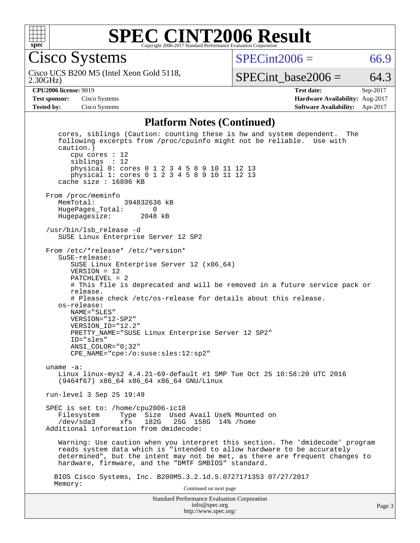

Cisco Systems

 $SPECint2006 = 66.9$  $SPECint2006 = 66.9$ 

2.30GHz) Cisco UCS B200 M5 (Intel Xeon Gold 5118,

SPECint base2006 =  $64.3$ 

**[CPU2006 license:](http://www.spec.org/auto/cpu2006/Docs/result-fields.html#CPU2006license)** 9019 **[Test date:](http://www.spec.org/auto/cpu2006/Docs/result-fields.html#Testdate)** Sep-2017 **[Test sponsor:](http://www.spec.org/auto/cpu2006/Docs/result-fields.html#Testsponsor)** Cisco Systems **[Hardware Availability:](http://www.spec.org/auto/cpu2006/Docs/result-fields.html#HardwareAvailability)** Aug-2017 **[Tested by:](http://www.spec.org/auto/cpu2006/Docs/result-fields.html#Testedby)** Cisco Systems **[Software Availability:](http://www.spec.org/auto/cpu2006/Docs/result-fields.html#SoftwareAvailability)** Apr-2017

#### **[Platform Notes \(Continued\)](http://www.spec.org/auto/cpu2006/Docs/result-fields.html#PlatformNotes)**

Standard Performance Evaluation Corporation [info@spec.org](mailto:info@spec.org) <http://www.spec.org/> Page 3 cores, siblings (Caution: counting these is hw and system dependent. The following excerpts from /proc/cpuinfo might not be reliable. Use with caution.) cpu cores : 12 siblings : 12 physical 0: cores 0 1 2 3 4 5 8 9 10 11 12 13 physical 1: cores 0 1 2 3 4 5 8 9 10 11 12 13 cache size : 16896 KB From /proc/meminfo<br>MemTotal: 394832636 kB HugePages\_Total: 0 Hugepagesize: 2048 kB /usr/bin/lsb\_release -d SUSE Linux Enterprise Server 12 SP2 From /etc/\*release\* /etc/\*version\* SuSE-release: SUSE Linux Enterprise Server 12 (x86\_64) VERSION = 12 PATCHLEVEL = 2 # This file is deprecated and will be removed in a future service pack or release. # Please check /etc/os-release for details about this release. os-release: NAME="SLES" VERSION="12-SP2" VERSION\_ID="12.2" PRETTY\_NAME="SUSE Linux Enterprise Server 12 SP2" ID="sles" ANSI\_COLOR="0;32" CPE\_NAME="cpe:/o:suse:sles:12:sp2" uname -a: Linux linux-mys2 4.4.21-69-default #1 SMP Tue Oct 25 10:58:20 UTC 2016 (9464f67) x86\_64 x86\_64 x86\_64 GNU/Linux run-level 3 Sep 25 19:49 SPEC is set to: /home/cpu2006-ic18 Filesystem Type Size Used Avail Use% Mounted on<br>
/dev/sda3 xfs 182G 25G 158G 14% /home xfs 182G 25G 158G 14% /home Additional information from dmidecode: Warning: Use caution when you interpret this section. The 'dmidecode' program reads system data which is "intended to allow hardware to be accurately determined", but the intent may not be met, as there are frequent changes to hardware, firmware, and the "DMTF SMBIOS" standard. BIOS Cisco Systems, Inc. B200M5.3.2.1d.5.0727171353 07/27/2017 Memory: Continued on next page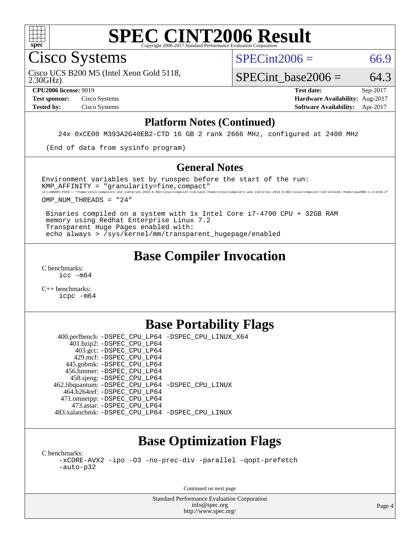

Cisco Systems

 $SPECint2006 = 66.9$  $SPECint2006 = 66.9$ 

2.30GHz) Cisco UCS B200 M5 (Intel Xeon Gold 5118,

SPECint base2006 =  $64.3$ **[CPU2006 license:](http://www.spec.org/auto/cpu2006/Docs/result-fields.html#CPU2006license)** 9019 **[Test date:](http://www.spec.org/auto/cpu2006/Docs/result-fields.html#Testdate)** Sep-2017

**[Test sponsor:](http://www.spec.org/auto/cpu2006/Docs/result-fields.html#Testsponsor)** Cisco Systems **[Hardware Availability:](http://www.spec.org/auto/cpu2006/Docs/result-fields.html#HardwareAvailability)** Aug-2017 **[Tested by:](http://www.spec.org/auto/cpu2006/Docs/result-fields.html#Testedby)** Cisco Systems **[Software Availability:](http://www.spec.org/auto/cpu2006/Docs/result-fields.html#SoftwareAvailability)** Apr-2017

#### **[Platform Notes \(Continued\)](http://www.spec.org/auto/cpu2006/Docs/result-fields.html#PlatformNotes)**

24x 0xCE00 M393A2G40EB2-CTD 16 GB 2 rank 2666 MHz, configured at 2400 MHz

(End of data from sysinfo program)

#### **[General Notes](http://www.spec.org/auto/cpu2006/Docs/result-fields.html#GeneralNotes)**

Environment variables set by runspec before the start of the run:  $KMP$  AFFINITY = "granularity=fine, compact" LD\_LIBRARY\_PATH = "/home/intel/compilers\_and\_libraries\_2018.0.082/linux/compiler/lib/ia32:/home/intel/compilers\_and\_libraries\_2018.0.082/linux/compiler/lib/intel64:/home/cpu2006-1.2/sh10.2"

OMP\_NUM\_THREADS = "24"

 Binaries compiled on a system with 1x Intel Core i7-4790 CPU + 32GB RAM memory using Redhat Enterprise Linux 7.2 Transparent Huge Pages enabled with: echo always > /sys/kernel/mm/transparent\_hugepage/enabled

## **[Base Compiler Invocation](http://www.spec.org/auto/cpu2006/Docs/result-fields.html#BaseCompilerInvocation)**

[C benchmarks](http://www.spec.org/auto/cpu2006/Docs/result-fields.html#Cbenchmarks): [icc -m64](http://www.spec.org/cpu2006/results/res2017q4/cpu2006-20171003-50267.flags.html#user_CCbase_intel_icc_64bit_bda6cc9af1fdbb0edc3795bac97ada53)

[C++ benchmarks:](http://www.spec.org/auto/cpu2006/Docs/result-fields.html#CXXbenchmarks) [icpc -m64](http://www.spec.org/cpu2006/results/res2017q4/cpu2006-20171003-50267.flags.html#user_CXXbase_intel_icpc_64bit_fc66a5337ce925472a5c54ad6a0de310)

## **[Base Portability Flags](http://www.spec.org/auto/cpu2006/Docs/result-fields.html#BasePortabilityFlags)**

 400.perlbench: [-DSPEC\\_CPU\\_LP64](http://www.spec.org/cpu2006/results/res2017q4/cpu2006-20171003-50267.flags.html#b400.perlbench_basePORTABILITY_DSPEC_CPU_LP64) [-DSPEC\\_CPU\\_LINUX\\_X64](http://www.spec.org/cpu2006/results/res2017q4/cpu2006-20171003-50267.flags.html#b400.perlbench_baseCPORTABILITY_DSPEC_CPU_LINUX_X64) 401.bzip2: [-DSPEC\\_CPU\\_LP64](http://www.spec.org/cpu2006/results/res2017q4/cpu2006-20171003-50267.flags.html#suite_basePORTABILITY401_bzip2_DSPEC_CPU_LP64) 403.gcc: [-DSPEC\\_CPU\\_LP64](http://www.spec.org/cpu2006/results/res2017q4/cpu2006-20171003-50267.flags.html#suite_basePORTABILITY403_gcc_DSPEC_CPU_LP64) 429.mcf: [-DSPEC\\_CPU\\_LP64](http://www.spec.org/cpu2006/results/res2017q4/cpu2006-20171003-50267.flags.html#suite_basePORTABILITY429_mcf_DSPEC_CPU_LP64) 445.gobmk: [-DSPEC\\_CPU\\_LP64](http://www.spec.org/cpu2006/results/res2017q4/cpu2006-20171003-50267.flags.html#suite_basePORTABILITY445_gobmk_DSPEC_CPU_LP64) 456.hmmer: [-DSPEC\\_CPU\\_LP64](http://www.spec.org/cpu2006/results/res2017q4/cpu2006-20171003-50267.flags.html#suite_basePORTABILITY456_hmmer_DSPEC_CPU_LP64) 458.sjeng: [-DSPEC\\_CPU\\_LP64](http://www.spec.org/cpu2006/results/res2017q4/cpu2006-20171003-50267.flags.html#suite_basePORTABILITY458_sjeng_DSPEC_CPU_LP64) 462.libquantum: [-DSPEC\\_CPU\\_LP64](http://www.spec.org/cpu2006/results/res2017q4/cpu2006-20171003-50267.flags.html#suite_basePORTABILITY462_libquantum_DSPEC_CPU_LP64) [-DSPEC\\_CPU\\_LINUX](http://www.spec.org/cpu2006/results/res2017q4/cpu2006-20171003-50267.flags.html#b462.libquantum_baseCPORTABILITY_DSPEC_CPU_LINUX) 464.h264ref: [-DSPEC\\_CPU\\_LP64](http://www.spec.org/cpu2006/results/res2017q4/cpu2006-20171003-50267.flags.html#suite_basePORTABILITY464_h264ref_DSPEC_CPU_LP64) 471.omnetpp: [-DSPEC\\_CPU\\_LP64](http://www.spec.org/cpu2006/results/res2017q4/cpu2006-20171003-50267.flags.html#suite_basePORTABILITY471_omnetpp_DSPEC_CPU_LP64) 473.astar: [-DSPEC\\_CPU\\_LP64](http://www.spec.org/cpu2006/results/res2017q4/cpu2006-20171003-50267.flags.html#suite_basePORTABILITY473_astar_DSPEC_CPU_LP64) 483.xalancbmk: [-DSPEC\\_CPU\\_LP64](http://www.spec.org/cpu2006/results/res2017q4/cpu2006-20171003-50267.flags.html#suite_basePORTABILITY483_xalancbmk_DSPEC_CPU_LP64) [-DSPEC\\_CPU\\_LINUX](http://www.spec.org/cpu2006/results/res2017q4/cpu2006-20171003-50267.flags.html#b483.xalancbmk_baseCXXPORTABILITY_DSPEC_CPU_LINUX)

# **[Base Optimization Flags](http://www.spec.org/auto/cpu2006/Docs/result-fields.html#BaseOptimizationFlags)**

[C benchmarks](http://www.spec.org/auto/cpu2006/Docs/result-fields.html#Cbenchmarks):

[-xCORE-AVX2](http://www.spec.org/cpu2006/results/res2017q4/cpu2006-20171003-50267.flags.html#user_CCbase_f-xCORE-AVX2) [-ipo](http://www.spec.org/cpu2006/results/res2017q4/cpu2006-20171003-50267.flags.html#user_CCbase_f-ipo) [-O3](http://www.spec.org/cpu2006/results/res2017q4/cpu2006-20171003-50267.flags.html#user_CCbase_f-O3) [-no-prec-div](http://www.spec.org/cpu2006/results/res2017q4/cpu2006-20171003-50267.flags.html#user_CCbase_f-no-prec-div) [-parallel](http://www.spec.org/cpu2006/results/res2017q4/cpu2006-20171003-50267.flags.html#user_CCbase_f-parallel) [-qopt-prefetch](http://www.spec.org/cpu2006/results/res2017q4/cpu2006-20171003-50267.flags.html#user_CCbase_f-qopt-prefetch) [-auto-p32](http://www.spec.org/cpu2006/results/res2017q4/cpu2006-20171003-50267.flags.html#user_CCbase_f-auto-p32)

Continued on next page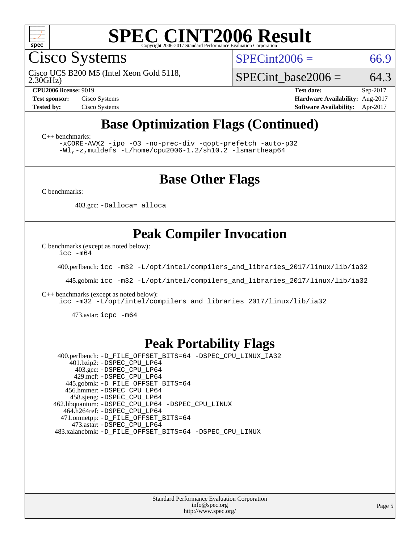

Cisco Systems

 $SPECint2006 = 66.9$  $SPECint2006 = 66.9$ 

2.30GHz) Cisco UCS B200 M5 (Intel Xeon Gold 5118,

SPECint base2006 =  $64.3$ 

**[CPU2006 license:](http://www.spec.org/auto/cpu2006/Docs/result-fields.html#CPU2006license)** 9019 **[Test date:](http://www.spec.org/auto/cpu2006/Docs/result-fields.html#Testdate)** Sep-2017 **[Test sponsor:](http://www.spec.org/auto/cpu2006/Docs/result-fields.html#Testsponsor)** Cisco Systems **[Hardware Availability:](http://www.spec.org/auto/cpu2006/Docs/result-fields.html#HardwareAvailability)** Aug-2017 **[Tested by:](http://www.spec.org/auto/cpu2006/Docs/result-fields.html#Testedby)** Cisco Systems **[Software Availability:](http://www.spec.org/auto/cpu2006/Docs/result-fields.html#SoftwareAvailability)** Apr-2017

# **[Base Optimization Flags \(Continued\)](http://www.spec.org/auto/cpu2006/Docs/result-fields.html#BaseOptimizationFlags)**

[C++ benchmarks:](http://www.spec.org/auto/cpu2006/Docs/result-fields.html#CXXbenchmarks)

[-xCORE-AVX2](http://www.spec.org/cpu2006/results/res2017q4/cpu2006-20171003-50267.flags.html#user_CXXbase_f-xCORE-AVX2) [-ipo](http://www.spec.org/cpu2006/results/res2017q4/cpu2006-20171003-50267.flags.html#user_CXXbase_f-ipo) [-O3](http://www.spec.org/cpu2006/results/res2017q4/cpu2006-20171003-50267.flags.html#user_CXXbase_f-O3) [-no-prec-div](http://www.spec.org/cpu2006/results/res2017q4/cpu2006-20171003-50267.flags.html#user_CXXbase_f-no-prec-div) [-qopt-prefetch](http://www.spec.org/cpu2006/results/res2017q4/cpu2006-20171003-50267.flags.html#user_CXXbase_f-qopt-prefetch) [-auto-p32](http://www.spec.org/cpu2006/results/res2017q4/cpu2006-20171003-50267.flags.html#user_CXXbase_f-auto-p32) [-Wl,-z,muldefs](http://www.spec.org/cpu2006/results/res2017q4/cpu2006-20171003-50267.flags.html#user_CXXbase_link_force_multiple1_74079c344b956b9658436fd1b6dd3a8a) [-L/home/cpu2006-1.2/sh10.2 -lsmartheap64](http://www.spec.org/cpu2006/results/res2017q4/cpu2006-20171003-50267.flags.html#user_CXXbase_SmartHeap64_e2d24ac0543142f6e306419dfa5f6c57)

## **[Base Other Flags](http://www.spec.org/auto/cpu2006/Docs/result-fields.html#BaseOtherFlags)**

[C benchmarks](http://www.spec.org/auto/cpu2006/Docs/result-fields.html#Cbenchmarks):

403.gcc: [-Dalloca=\\_alloca](http://www.spec.org/cpu2006/results/res2017q4/cpu2006-20171003-50267.flags.html#b403.gcc_baseEXTRA_CFLAGS_Dalloca_be3056838c12de2578596ca5467af7f3)

## **[Peak Compiler Invocation](http://www.spec.org/auto/cpu2006/Docs/result-fields.html#PeakCompilerInvocation)**

[C benchmarks \(except as noted below\)](http://www.spec.org/auto/cpu2006/Docs/result-fields.html#Cbenchmarksexceptasnotedbelow):

[icc -m64](http://www.spec.org/cpu2006/results/res2017q4/cpu2006-20171003-50267.flags.html#user_CCpeak_intel_icc_64bit_bda6cc9af1fdbb0edc3795bac97ada53)

400.perlbench: [icc -m32 -L/opt/intel/compilers\\_and\\_libraries\\_2017/linux/lib/ia32](http://www.spec.org/cpu2006/results/res2017q4/cpu2006-20171003-50267.flags.html#user_peakCCLD400_perlbench_intel_icc_c29f3ff5a7ed067b11e4ec10a03f03ae)

445.gobmk: [icc -m32 -L/opt/intel/compilers\\_and\\_libraries\\_2017/linux/lib/ia32](http://www.spec.org/cpu2006/results/res2017q4/cpu2006-20171003-50267.flags.html#user_peakCCLD445_gobmk_intel_icc_c29f3ff5a7ed067b11e4ec10a03f03ae)

[C++ benchmarks \(except as noted below\):](http://www.spec.org/auto/cpu2006/Docs/result-fields.html#CXXbenchmarksexceptasnotedbelow)

[icc -m32 -L/opt/intel/compilers\\_and\\_libraries\\_2017/linux/lib/ia32](http://www.spec.org/cpu2006/results/res2017q4/cpu2006-20171003-50267.flags.html#user_CXXpeak_intel_icc_c29f3ff5a7ed067b11e4ec10a03f03ae)

473.astar: [icpc -m64](http://www.spec.org/cpu2006/results/res2017q4/cpu2006-20171003-50267.flags.html#user_peakCXXLD473_astar_intel_icpc_64bit_fc66a5337ce925472a5c54ad6a0de310)

### **[Peak Portability Flags](http://www.spec.org/auto/cpu2006/Docs/result-fields.html#PeakPortabilityFlags)**

 400.perlbench: [-D\\_FILE\\_OFFSET\\_BITS=64](http://www.spec.org/cpu2006/results/res2017q4/cpu2006-20171003-50267.flags.html#user_peakPORTABILITY400_perlbench_file_offset_bits_64_438cf9856305ebd76870a2c6dc2689ab) [-DSPEC\\_CPU\\_LINUX\\_IA32](http://www.spec.org/cpu2006/results/res2017q4/cpu2006-20171003-50267.flags.html#b400.perlbench_peakCPORTABILITY_DSPEC_CPU_LINUX_IA32) 401.bzip2: [-DSPEC\\_CPU\\_LP64](http://www.spec.org/cpu2006/results/res2017q4/cpu2006-20171003-50267.flags.html#suite_peakPORTABILITY401_bzip2_DSPEC_CPU_LP64) 403.gcc: [-DSPEC\\_CPU\\_LP64](http://www.spec.org/cpu2006/results/res2017q4/cpu2006-20171003-50267.flags.html#suite_peakPORTABILITY403_gcc_DSPEC_CPU_LP64) 429.mcf: [-DSPEC\\_CPU\\_LP64](http://www.spec.org/cpu2006/results/res2017q4/cpu2006-20171003-50267.flags.html#suite_peakPORTABILITY429_mcf_DSPEC_CPU_LP64) 445.gobmk: [-D\\_FILE\\_OFFSET\\_BITS=64](http://www.spec.org/cpu2006/results/res2017q4/cpu2006-20171003-50267.flags.html#user_peakPORTABILITY445_gobmk_file_offset_bits_64_438cf9856305ebd76870a2c6dc2689ab) 456.hmmer: [-DSPEC\\_CPU\\_LP64](http://www.spec.org/cpu2006/results/res2017q4/cpu2006-20171003-50267.flags.html#suite_peakPORTABILITY456_hmmer_DSPEC_CPU_LP64) 458.sjeng: [-DSPEC\\_CPU\\_LP64](http://www.spec.org/cpu2006/results/res2017q4/cpu2006-20171003-50267.flags.html#suite_peakPORTABILITY458_sjeng_DSPEC_CPU_LP64) 462.libquantum: [-DSPEC\\_CPU\\_LP64](http://www.spec.org/cpu2006/results/res2017q4/cpu2006-20171003-50267.flags.html#suite_peakPORTABILITY462_libquantum_DSPEC_CPU_LP64) [-DSPEC\\_CPU\\_LINUX](http://www.spec.org/cpu2006/results/res2017q4/cpu2006-20171003-50267.flags.html#b462.libquantum_peakCPORTABILITY_DSPEC_CPU_LINUX) 464.h264ref: [-DSPEC\\_CPU\\_LP64](http://www.spec.org/cpu2006/results/res2017q4/cpu2006-20171003-50267.flags.html#suite_peakPORTABILITY464_h264ref_DSPEC_CPU_LP64) 471.omnetpp: [-D\\_FILE\\_OFFSET\\_BITS=64](http://www.spec.org/cpu2006/results/res2017q4/cpu2006-20171003-50267.flags.html#user_peakPORTABILITY471_omnetpp_file_offset_bits_64_438cf9856305ebd76870a2c6dc2689ab) 473.astar: [-DSPEC\\_CPU\\_LP64](http://www.spec.org/cpu2006/results/res2017q4/cpu2006-20171003-50267.flags.html#suite_peakPORTABILITY473_astar_DSPEC_CPU_LP64) 483.xalancbmk: [-D\\_FILE\\_OFFSET\\_BITS=64](http://www.spec.org/cpu2006/results/res2017q4/cpu2006-20171003-50267.flags.html#user_peakPORTABILITY483_xalancbmk_file_offset_bits_64_438cf9856305ebd76870a2c6dc2689ab) [-DSPEC\\_CPU\\_LINUX](http://www.spec.org/cpu2006/results/res2017q4/cpu2006-20171003-50267.flags.html#b483.xalancbmk_peakCXXPORTABILITY_DSPEC_CPU_LINUX)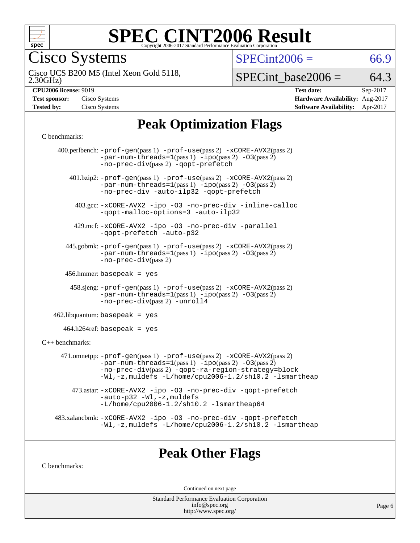

Cisco Systems

 $SPECint2006 = 66.9$  $SPECint2006 = 66.9$ 

2.30GHz) Cisco UCS B200 M5 (Intel Xeon Gold 5118,

 $SPECTnt\_base2006 = 64.3$ 

| <b>Test sponsor:</b> | Cisco Systems |
|----------------------|---------------|
| <b>Tested by:</b>    | Cisco Systems |

**[CPU2006 license:](http://www.spec.org/auto/cpu2006/Docs/result-fields.html#CPU2006license)** 9019 **[Test date:](http://www.spec.org/auto/cpu2006/Docs/result-fields.html#Testdate)** Sep-2017 **[Hardware Availability:](http://www.spec.org/auto/cpu2006/Docs/result-fields.html#HardwareAvailability)** Aug-2017 **[Software Availability:](http://www.spec.org/auto/cpu2006/Docs/result-fields.html#SoftwareAvailability)** Apr-2017

# **[Peak Optimization Flags](http://www.spec.org/auto/cpu2006/Docs/result-fields.html#PeakOptimizationFlags)**

#### [C benchmarks](http://www.spec.org/auto/cpu2006/Docs/result-fields.html#Cbenchmarks):

|                   | 400.perlbench: -prof-gen(pass 1) -prof-use(pass 2) -xCORE-AVX2(pass 2)<br>$-par-num-threads=1(pass 1) -ipo(pass 2) -03(pass 2)$<br>-no-prec-div(pass 2) -qopt-prefetch                                                                         |
|-------------------|------------------------------------------------------------------------------------------------------------------------------------------------------------------------------------------------------------------------------------------------|
|                   | $401 \text{.}$ bzip2: -prof-gen(pass 1) -prof-use(pass 2) -xCORE-AVX2(pass 2)<br>$-par-num-threads=1(pass 1) -ipo(pass 2) -03(pass 2)$<br>-no-prec-div -auto-ilp32 -qopt-prefetch                                                              |
|                   | 403.gcc: -xCORE-AVX2 -ipo -03 -no-prec-div -inline-calloc<br>-qopt-malloc-options=3 -auto-ilp32                                                                                                                                                |
|                   | 429.mcf: -xCORE-AVX2 -ipo -03 -no-prec-div -parallel<br>-gopt-prefetch -auto-p32                                                                                                                                                               |
|                   | 445.gobmk: -prof-gen(pass 1) -prof-use(pass 2) -xCORE-AVX2(pass 2)<br>$-par-num-threads = 1 (pass 1) - ipo (pass 2) -03 (pass 2)$<br>$-no-prec-div(pass 2)$                                                                                    |
|                   | 456.hmmer: basepeak = $yes$                                                                                                                                                                                                                    |
|                   | 458.sjeng: -prof-gen(pass 1) -prof-use(pass 2) -xCORE-AVX2(pass 2)<br>$-par-num-threads=1(pass 1) -ipo(pass 2) -03(pass 2)$<br>-no-prec-div(pass 2) -unroll4                                                                                   |
|                   | $462$ .libquantum: basepeak = yes                                                                                                                                                                                                              |
|                   | $464.h264$ ref: basepeak = yes                                                                                                                                                                                                                 |
| $C++$ benchmarks: |                                                                                                                                                                                                                                                |
|                   | 471.omnetpp: -prof-gen(pass 1) -prof-use(pass 2) -xCORE-AVX2(pass 2)<br>$-par-num-threads=1(pass 1) -ipo(pass 2) -03(pass 2)$<br>-no-prec-div(pass 2) -qopt-ra-region-strategy=block<br>-Wl,-z, muldefs -L/home/cpu2006-1.2/sh10.2 -lsmartheap |
|                   | 473.astar: -xCORE-AVX2 -ipo -03 -no-prec-div -qopt-prefetch<br>$-auto-p32 - W1, -z$ , muldefs<br>$-L/home/cpu2006-1.2/sh10.2 -lsmartheap64$                                                                                                    |
|                   | 483.xalancbmk: -xCORE-AVX2 -ipo -03 -no-prec-div -qopt-prefetch<br>$-Wl$ , -z, muldefs -L/home/cpu2006-1.2/sh10.2 -lsmartheap                                                                                                                  |
|                   |                                                                                                                                                                                                                                                |

## **[Peak Other Flags](http://www.spec.org/auto/cpu2006/Docs/result-fields.html#PeakOtherFlags)**

[C benchmarks](http://www.spec.org/auto/cpu2006/Docs/result-fields.html#Cbenchmarks):

Continued on next page